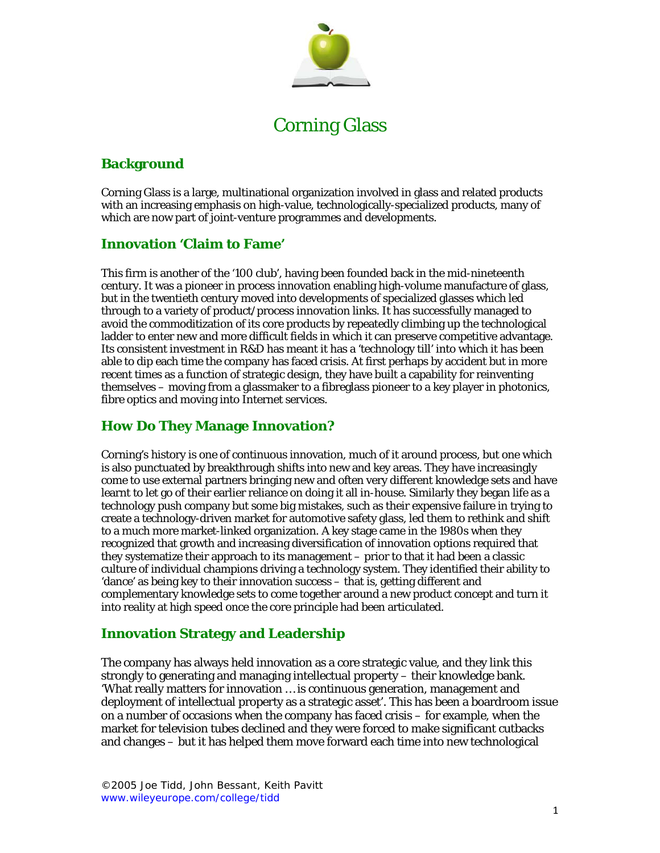

# Corning Glass

## **Background**

Corning Glass is a large, multinational organization involved in glass and related products with an increasing emphasis on high-value, technologically-specialized products, many of which are now part of joint-venture programmes and developments.

### **Innovation 'Claim to Fame'**

This firm is another of the '100 club', having been founded back in the mid-nineteenth century. It was a pioneer in process innovation enabling high-volume manufacture of glass, but in the twentieth century moved into developments of specialized glasses which led through to a variety of product/process innovation links. It has successfully managed to avoid the commoditization of its core products by repeatedly climbing up the technological ladder to enter new and more difficult fields in which it can preserve competitive advantage. Its consistent investment in R&D has meant it has a 'technology till' into which it has been able to dip each time the company has faced crisis. At first perhaps by accident but in more recent times as a function of strategic design, they have built a capability for reinventing themselves – moving from a glassmaker to a fibreglass pioneer to a key player in photonics, fibre optics and moving into Internet services.

# **How Do They Manage Innovation?**

Corning's history is one of continuous innovation, much of it around process, but one which is also punctuated by breakthrough shifts into new and key areas. They have increasingly come to use external partners bringing new and often very different knowledge sets and have learnt to let go of their earlier reliance on doing it all in-house. Similarly they began life as a technology push company but some big mistakes, such as their expensive failure in trying to create a technology-driven market for automotive safety glass, led them to rethink and shift to a much more market-linked organization. A key stage came in the 1980s when they recognized that growth and increasing diversification of innovation options required that they systematize their approach to its management – prior to that it had been a classic culture of individual champions driving a technology system. They identified their ability to 'dance' as being key to their innovation success – that is, getting different and complementary knowledge sets to come together around a new product concept and turn it into reality at high speed once the core principle had been articulated.

### **Innovation Strategy and Leadership**

The company has always held innovation as a core strategic value, and they link this strongly to generating and managing intellectual property – their knowledge bank. 'What really matters for innovation … is continuous generation, management and deployment of intellectual property as a strategic asset'. This has been a boardroom issue on a number of occasions when the company has faced crisis – for example, when the market for television tubes declined and they were forced to make significant cutbacks and changes – but it has helped them move forward each time into new technological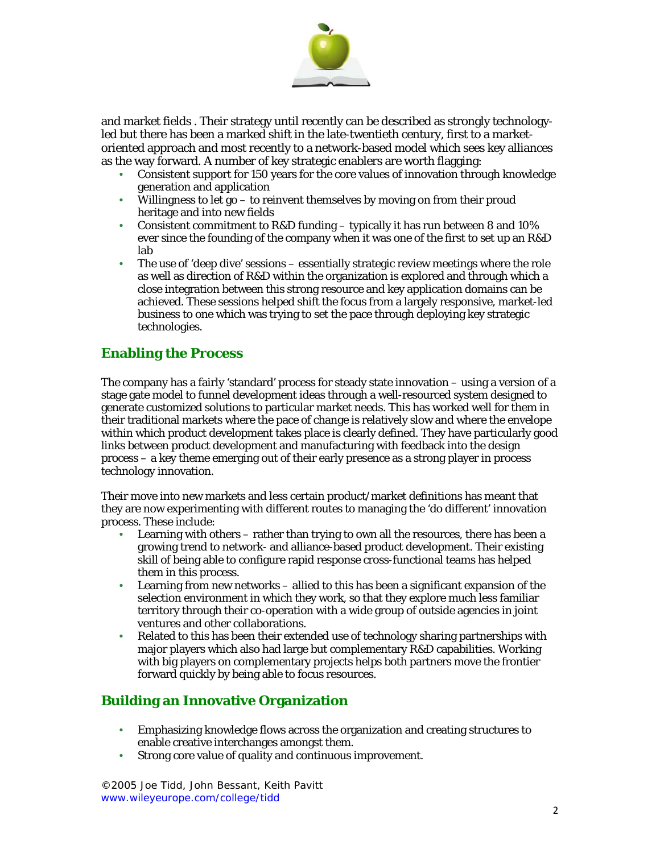

and market fields . Their strategy until recently can be described as strongly technologyled but there has been a marked shift in the late-twentieth century, first to a marketoriented approach and most recently to a network-based model which sees key alliances as the way forward. A number of key strategic enablers are worth flagging:

- Consistent support for 150 years for the core values of innovation through knowledge generation and application
- Willingness to let go to reinvent themselves by moving on from their proud heritage and into new fields
- Consistent commitment to R&D funding typically it has run between 8 and 10% ever since the founding of the company when it was one of the first to set up an R&D lab
- The use of 'deep dive' sessions essentially strategic review meetings where the role as well as direction of R&D within the organization is explored and through which a close integration between this strong resource and key application domains can be achieved. These sessions helped shift the focus from a largely responsive, market-led business to one which was trying to set the pace through deploying key strategic technologies.

### **Enabling the Process**

The company has a fairly 'standard' process for steady state innovation – using a version of a stage gate model to funnel development ideas through a well-resourced system designed to generate customized solutions to particular market needs. This has worked well for them in their traditional markets where the pace of change is relatively slow and where the envelope within which product development takes place is clearly defined. They have particularly good links between product development and manufacturing with feedback into the design process – a key theme emerging out of their early presence as a strong player in process technology innovation.

Their move into new markets and less certain product/market definitions has meant that they are now experimenting with different routes to managing the 'do different' innovation process. These include:

- Learning with others rather than trying to own all the resources, there has been a growing trend to network- and alliance-based product development. Their existing skill of being able to configure rapid response cross-functional teams has helped them in this process.
- Learning from new networks allied to this has been a significant expansion of the selection environment in which they work, so that they explore much less familiar territory through their co-operation with a wide group of outside agencies in joint ventures and other collaborations.
- Related to this has been their extended use of technology sharing partnerships with major players which also had large but complementary R&D capabilities. Working with big players on complementary projects helps both partners move the frontier forward quickly by being able to focus resources.

### **Building an Innovative Organization**

- Emphasizing knowledge flows across the organization and creating structures to enable creative interchanges amongst them.
- Strong core value of quality and continuous improvement.

©2005 Joe Tidd, John Bessant, Keith Pavitt www.wileyeurope.com/college/tidd